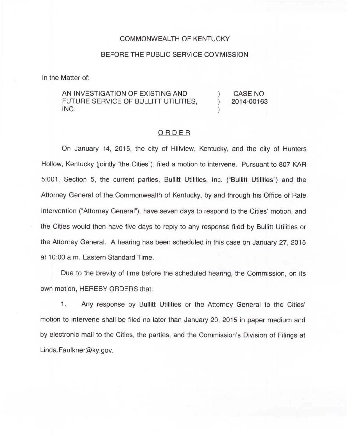## COMMONWEALTH OF KENTUCKY

## BEFORE THE PUBLIC SERVICE COMMISSION

In the Matter of:

AN INVESTIGATION OF EXISTING AND FUTURE SERVICE OF BULLITT UTILITIES, INC.

) CASE NO.<br>
1 2014-00163 ) 2014-00163

)

## ORDER

On January 14, 2015, the city of Hillview, Kentucky, and the city of Hunters Hollow, Kentucky (jointly "the Cities"), filed a motion to intervene. Pursuant to 807 KAR 5:001, Section 5, the current parties, Bullitt Utilities, Inc. ("Bullitt Utilities") and the Attorney General of the Commonwealth of Kentucky, by and through his Office of Rate Intervention ("Attorney General"), have seven days to respond to the Cities' motion, and the Cities would then have five days to reply to any response filed by Bullitt Utilities or the Attorney General. A hearing has been scheduled in this case on January 27, 2015 at 10:00a.m. Eastern Standard Time.

Due to the brevity of time before the scheduled hearing, the Commission, on its own motion, HEREBY ORDERS that:

1. Any response by Bullitt Utilities or the Attorney General to the Cities' motion to intervene shall be filed no later than January 20, 2015 in paper medium and by electronic mail to the Cities, the parties, and the Commission's Division of Filings at Linda. Faulkner@ky.gov.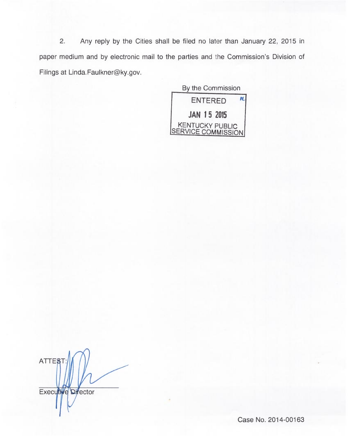2. Any reply by the Cities shall be filed no later than January 22, 2015 in paper medium and by electronic mail to the parties and the Commission's Division of Filings at Linda. Faulkner@ky.gov.

By the Commission ENTERED n JAN 15 2015 KENTUCKY PUBLIC SERVICE COMMISSION

ATTE<sub>8</sub> Executive Director

Case No. 2014-00163